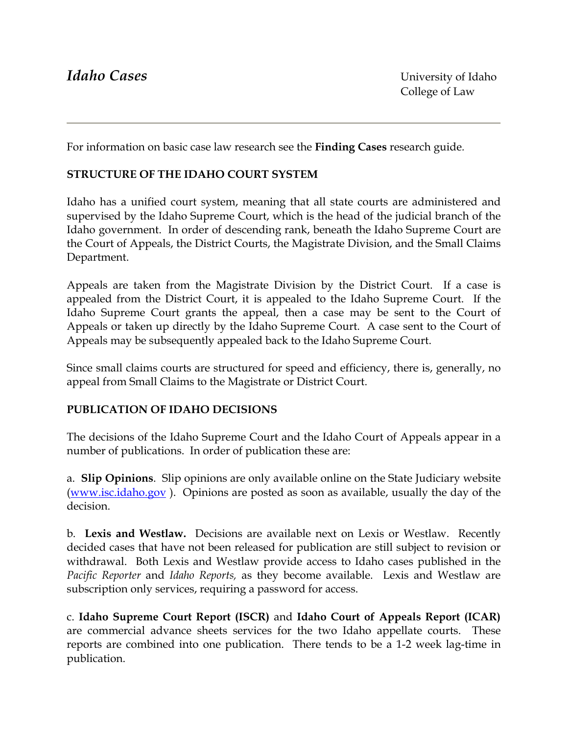For information on basic case law research see the **Finding Cases** research guide*.*

### **STRUCTURE OF THE IDAHO COURT SYSTEM**

Idaho has a unified court system, meaning that all state courts are administered and supervised by the Idaho Supreme Court, which is the head of the judicial branch of the Idaho government. In order of descending rank, beneath the Idaho Supreme Court are the Court of Appeals, the District Courts, the Magistrate Division, and the Small Claims Department.

Appeals are taken from the Magistrate Division by the District Court. If a case is appealed from the District Court, it is appealed to the Idaho Supreme Court. If the Idaho Supreme Court grants the appeal, then a case may be sent to the Court of Appeals or taken up directly by the Idaho Supreme Court. A case sent to the Court of Appeals may be subsequently appealed back to the Idaho Supreme Court.

Since small claims courts are structured for speed and efficiency, there is, generally, no appeal from Small Claims to the Magistrate or District Court.

#### **PUBLICATION OF IDAHO DECISIONS**

The decisions of the Idaho Supreme Court and the Idaho Court of Appeals appear in a number of publications. In order of publication these are:

a. **Slip Opinions**. Slip opinions are only available online on the State Judiciary website ([www.isc.idaho.gov](http://www.isc.idaho.gov/) ). Opinions are posted as soon as available, usually the day of the decision.

b. **Lexis and Westlaw.** Decisions are available next on Lexis or Westlaw. Recently decided cases that have not been released for publication are still subject to revision or withdrawal. Both Lexis and Westlaw provide access to Idaho cases published in the *Pacific Reporter* and *Idaho Reports,* as they become available. Lexis and Westlaw are subscription only services, requiring a password for access.

c. **Idaho Supreme Court Report (ISCR)** and **Idaho Court of Appeals Report (ICAR)** are commercial advance sheets services for the two Idaho appellate courts. These reports are combined into one publication. There tends to be a 1-2 week lag-time in publication.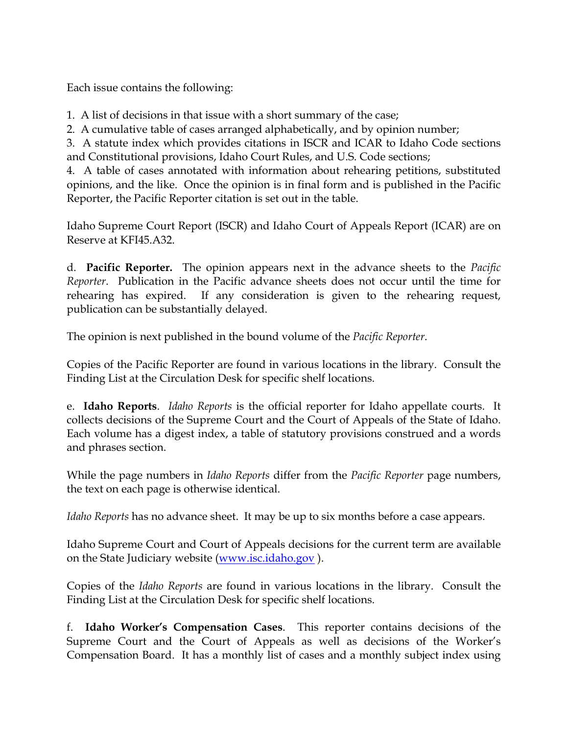Each issue contains the following:

- 1. A list of decisions in that issue with a short summary of the case;
- 2. A cumulative table of cases arranged alphabetically, and by opinion number;

3. A statute index which provides citations in ISCR and ICAR to Idaho Code sections and Constitutional provisions, Idaho Court Rules, and U.S. Code sections;

4. A table of cases annotated with information about rehearing petitions, substituted opinions, and the like. Once the opinion is in final form and is published in the Pacific Reporter, the Pacific Reporter citation is set out in the table.

Idaho Supreme Court Report (ISCR) and Idaho Court of Appeals Report (ICAR) are on Reserve at KFI45.A32.

d. **Pacific Reporter.** The opinion appears next in the advance sheets to the *Pacific Reporter*. Publication in the Pacific advance sheets does not occur until the time for rehearing has expired. If any consideration is given to the rehearing request, publication can be substantially delayed.

The opinion is next published in the bound volume of the *Pacific Reporter*.

Copies of the Pacific Reporter are found in various locations in the library. Consult the Finding List at the Circulation Desk for specific shelf locations.

e. **Idaho Reports**. *Idaho Reports* is the official reporter for Idaho appellate courts. It collects decisions of the Supreme Court and the Court of Appeals of the State of Idaho. Each volume has a digest index, a table of statutory provisions construed and a words and phrases section.

While the page numbers in *Idaho Reports* differ from the *Pacific Reporter* page numbers, the text on each page is otherwise identical.

*Idaho Reports* has no advance sheet. It may be up to six months before a case appears.

Idaho Supreme Court and Court of Appeals decisions for the current term are available on the State Judiciary website [\(www.isc.idaho.gov](http://www.isc.idaho.gov/) ).

Copies of the *Idaho Reports* are found in various locations in the library. Consult the Finding List at the Circulation Desk for specific shelf locations.

f. **Idaho Worker's Compensation Cases**. This reporter contains decisions of the Supreme Court and the Court of Appeals as well as decisions of the Worker's Compensation Board. It has a monthly list of cases and a monthly subject index using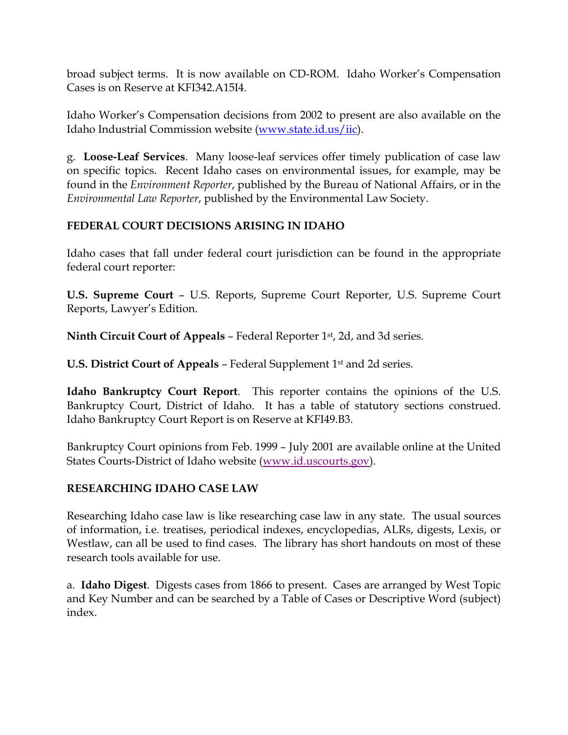broad subject terms. It is now available on CD-ROM. Idaho Worker's Compensation Cases is on Reserve at KFI342.A15I4.

Idaho Worker's Compensation decisions from 2002 to present are also available on the Idaho Industrial Commission website ([www.state.id.us/iic](http://www.state.id.us/iic)).

g. **Loose-Leaf Services**. Many loose-leaf services offer timely publication of case law on specific topics. Recent Idaho cases on environmental issues, for example, may be found in the *Environment Reporter*, published by the Bureau of National Affairs, or in the *Environmental Law Reporter*, published by the Environmental Law Society.

### **FEDERAL COURT DECISIONS ARISING IN IDAHO**

Idaho cases that fall under federal court jurisdiction can be found in the appropriate federal court reporter:

**U.S. Supreme Court** – U.S. Reports, Supreme Court Reporter, U.S. Supreme Court Reports, Lawyer's Edition.

**Ninth Circuit Court of Appeals** – Federal Reporter 1st, 2d, and 3d series.

**U.S. District Court of Appeals** – Federal Supplement 1st and 2d series.

**Idaho Bankruptcy Court Report**. This reporter contains the opinions of the U.S. Bankruptcy Court, District of Idaho. It has a table of statutory sections construed. Idaho Bankruptcy Court Report is on Reserve at KFI49.B3.

Bankruptcy Court opinions from Feb. 1999 – July 2001 are available online at the United States Courts-District of Idaho website (www.id.uscourts.gov).

### **RESEARCHING IDAHO CASE LAW**

Researching Idaho case law is like researching case law in any state. The usual sources of information, i.e. treatises, periodical indexes, encyclopedias, ALRs, digests, Lexis, or Westlaw, can all be used to find cases. The library has short handouts on most of these research tools available for use.

a. **Idaho Digest**. Digests cases from 1866 to present. Cases are arranged by West Topic and Key Number and can be searched by a Table of Cases or Descriptive Word (subject) index.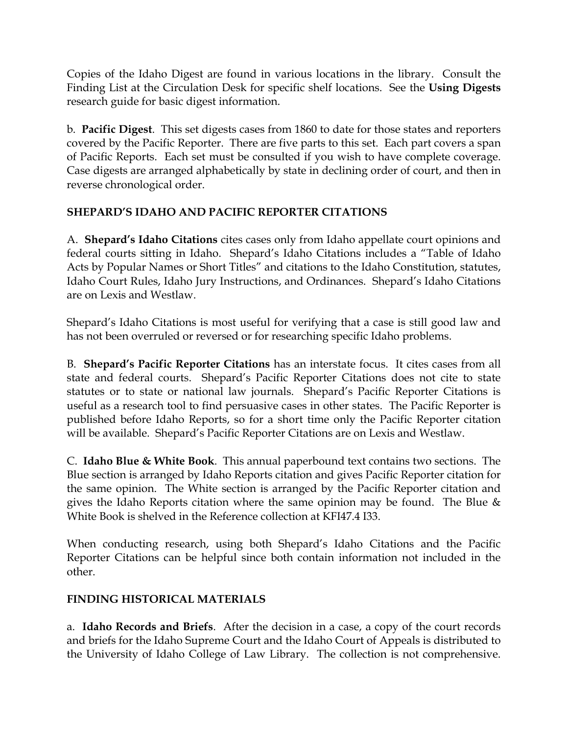Copies of the Idaho Digest are found in various locations in the library. Consult the Finding List at the Circulation Desk for specific shelf locations. See the **Using Digests** research guide for basic digest information.

b. **Pacific Digest**. This set digests cases from 1860 to date for those states and reporters covered by the Pacific Reporter. There are five parts to this set. Each part covers a span of Pacific Reports. Each set must be consulted if you wish to have complete coverage. Case digests are arranged alphabetically by state in declining order of court, and then in reverse chronological order.

# **SHEPARD'S IDAHO AND PACIFIC REPORTER CITATIONS**

A. **Shepard's Idaho Citations** cites cases only from Idaho appellate court opinions and federal courts sitting in Idaho. Shepard's Idaho Citations includes a "Table of Idaho Acts by Popular Names or Short Titles" and citations to the Idaho Constitution, statutes, Idaho Court Rules, Idaho Jury Instructions, and Ordinances. Shepard's Idaho Citations are on Lexis and Westlaw.

Shepard's Idaho Citations is most useful for verifying that a case is still good law and has not been overruled or reversed or for researching specific Idaho problems.

B. **Shepard's Pacific Reporter Citations** has an interstate focus. It cites cases from all state and federal courts. Shepard's Pacific Reporter Citations does not cite to state statutes or to state or national law journals. Shepard's Pacific Reporter Citations is useful as a research tool to find persuasive cases in other states. The Pacific Reporter is published before Idaho Reports, so for a short time only the Pacific Reporter citation will be available. Shepard's Pacific Reporter Citations are on Lexis and Westlaw.

C. **Idaho Blue & White Book**. This annual paperbound text contains two sections. The Blue section is arranged by Idaho Reports citation and gives Pacific Reporter citation for the same opinion. The White section is arranged by the Pacific Reporter citation and gives the Idaho Reports citation where the same opinion may be found. The Blue & White Book is shelved in the Reference collection at KFI47.4 I33.

When conducting research, using both Shepard's Idaho Citations and the Pacific Reporter Citations can be helpful since both contain information not included in the other.

# **FINDING HISTORICAL MATERIALS**

a. **Idaho Records and Briefs**. After the decision in a case, a copy of the court records and briefs for the Idaho Supreme Court and the Idaho Court of Appeals is distributed to the University of Idaho College of Law Library. The collection is not comprehensive.